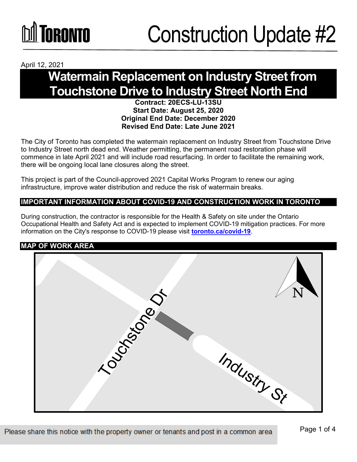

April 12, 2021

### **Watermain Replacement on Industry Street from Touchstone Drive to Industry Street North End**

#### **Contract: 20ECS-LU-13SU Start Date: August 25, 2020 Original End Date: December 2020 Revised End Date: Late June 2021**

The City of Toronto has completed the watermain replacement on Industry Street from Touchstone Drive to Industry Street north dead end. Weather permitting, the permanent road restoration phase will commence in late April 2021 and will include road resurfacing. In order to facilitate the remaining work, there will be ongoing local lane closures along the street.

This project is part of the Council-approved 2021 Capital Works Program to renew our aging infrastructure, improve water distribution and reduce the risk of watermain breaks.

#### **IMPORTANT INFORMATION ABOUT COVID-19 AND CONSTRUCTION WORK IN TORONTO**

During construction, the contractor is responsible for the Health & Safety on site under the Ontario Occupational Health and Safety Act and is expected to implement COVID-19 mitigation practices. For more information on the City's response to COVID-19 please visit **[toronto.ca/covid-19](http://www.toronto.ca/covid-19)**.

#### **MAP OF WORK AREA**

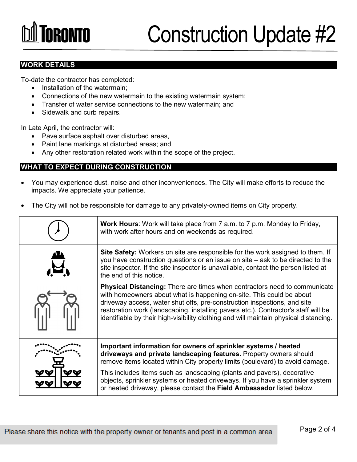# **TORONTO**

### Construction Update #2

#### **WORK DETAILS**

To-date the contractor has completed:

- Installation of the watermain:
- Connections of the new watermain to the existing watermain system;
- Transfer of water service connections to the new watermain; and
- Sidewalk and curb repairs.

In Late April, the contractor will:

- Pave surface asphalt over disturbed areas,
- Paint lane markings at disturbed areas; and
- Any other restoration related work within the scope of the project.

#### **WHAT TO EXPECT DURING CONSTRUCTION**

- You may experience dust, noise and other inconveniences. The City will make efforts to reduce the impacts. We appreciate your patience.
- The City will not be responsible for damage to any privately-owned items on City property.

| <b>Work Hours:</b> Work will take place from 7 a.m. to 7 p.m. Monday to Friday,<br>with work after hours and on weekends as required.                                                                                                                                                                                                                                                                        |
|--------------------------------------------------------------------------------------------------------------------------------------------------------------------------------------------------------------------------------------------------------------------------------------------------------------------------------------------------------------------------------------------------------------|
| Site Safety: Workers on site are responsible for the work assigned to them. If<br>you have construction questions or an issue on site – ask to be directed to the<br>site inspector. If the site inspector is unavailable, contact the person listed at<br>the end of this notice.                                                                                                                           |
| Physical Distancing: There are times when contractors need to communicate<br>with homeowners about what is happening on-site. This could be about<br>driveway access, water shut offs, pre-construction inspections, and site<br>restoration work (landscaping, installing pavers etc.). Contractor's staff will be<br>identifiable by their high-visibility clothing and will maintain physical distancing. |
| Important information for owners of sprinkler systems / heated<br>driveways and private landscaping features. Property owners should<br>remove items located within City property limits (boulevard) to avoid damage.                                                                                                                                                                                        |
| This includes items such as landscaping (plants and pavers), decorative<br>objects, sprinkler systems or heated driveways. If you have a sprinkler system<br>or heated driveway, please contact the Field Ambassador listed below.                                                                                                                                                                           |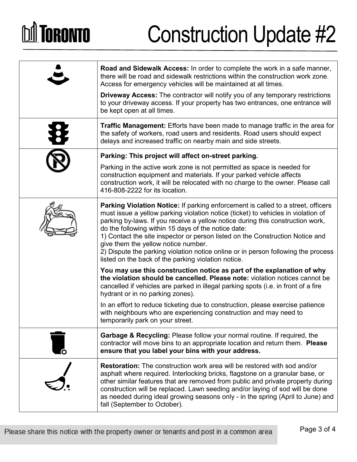# **DA TORONTO**

## Construction Update #2

| Road and Sidewalk Access: In order to complete the work in a safe manner,<br>there will be road and sidewalk restrictions within the construction work zone.<br>Access for emergency vehicles will be maintained at all times.<br><b>Driveway Access:</b> The contractor will notify you of any temporary restrictions<br>to your driveway access. If your property has two entrances, one entrance will<br>be kept open at all times.                                                                                                                                                    |
|-------------------------------------------------------------------------------------------------------------------------------------------------------------------------------------------------------------------------------------------------------------------------------------------------------------------------------------------------------------------------------------------------------------------------------------------------------------------------------------------------------------------------------------------------------------------------------------------|
| <b>Traffic Management:</b> Efforts have been made to manage traffic in the area for<br>the safety of workers, road users and residents. Road users should expect<br>delays and increased traffic on nearby main and side streets.                                                                                                                                                                                                                                                                                                                                                         |
| Parking: This project will affect on-street parking.<br>Parking in the active work zone is not permitted as space is needed for<br>construction equipment and materials. If your parked vehicle affects<br>construction work, it will be relocated with no charge to the owner. Please call<br>416-808-2222 for its location.                                                                                                                                                                                                                                                             |
| <b>Parking Violation Notice:</b> If parking enforcement is called to a street, officers<br>must issue a yellow parking violation notice (ticket) to vehicles in violation of<br>parking by-laws. If you receive a yellow notice during this construction work,<br>do the following within 15 days of the notice date:<br>1) Contact the site inspector or person listed on the Construction Notice and<br>give them the yellow notice number.<br>2) Dispute the parking violation notice online or in person following the process<br>listed on the back of the parking violation notice. |
| You may use this construction notice as part of the explanation of why<br>the violation should be cancelled. Please note: violation notices cannot be<br>cancelled if vehicles are parked in illegal parking spots (i.e. in front of a fire<br>hydrant or in no parking zones).                                                                                                                                                                                                                                                                                                           |
| In an effort to reduce ticketing due to construction, please exercise patience<br>with neighbours who are experiencing construction and may need to<br>temporarily park on your street.                                                                                                                                                                                                                                                                                                                                                                                                   |
| <b>Garbage &amp; Recycling:</b> Please follow your normal routine. If required, the<br>contractor will move bins to an appropriate location and return them. Please<br>ensure that you label your bins with your address.                                                                                                                                                                                                                                                                                                                                                                 |
| <b>Restoration:</b> The construction work area will be restored with sod and/or<br>asphalt where required. Interlocking bricks, flagstone on a granular base, or<br>other similar features that are removed from public and private property during<br>construction will be replaced. Lawn seeding and/or laying of sod will be done<br>as needed during ideal growing seasons only - in the spring (April to June) and<br>fall (September to October).                                                                                                                                   |